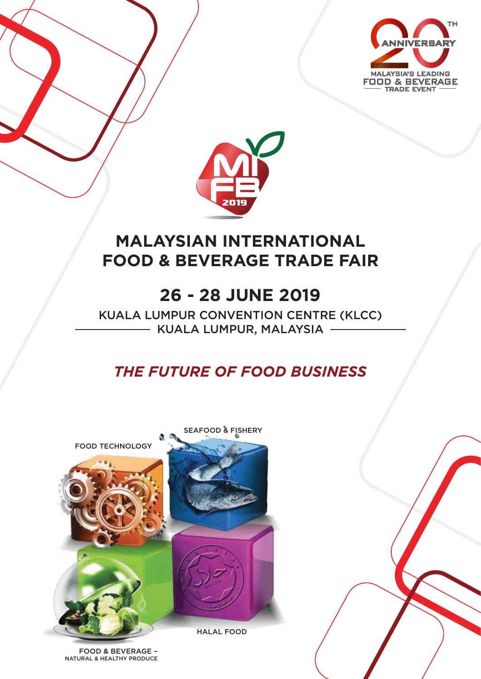



# **MALAYSIAN INTERNATIONAL FOOD & BEVERAGE TRADE FAIR**

# **26 - 28 JUNE 2019**

KUALA LUMPUR CONVENTION CENTRE (KLCC) - KUALA LUMPUR, MALAYSIA -

## *THE FUTURE OF FOOD BUSINESS*



FOOD & BEVERAGE – NATURAL & HEALTHY PRODUCE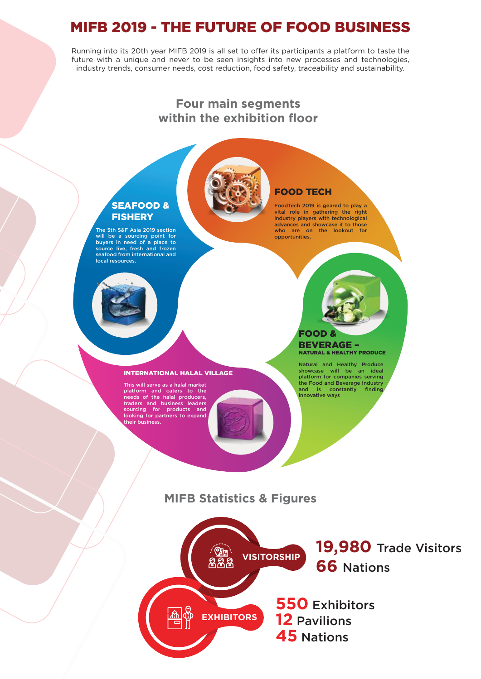### MIFB 2019 - THE FUTURE OF FOOD BUSINESS

Running into its 20th year MIFB 2019 is all set to offer its participants a platform to taste the future with a unique and never to be seen insights into new processes and technologies, industry trends, consumer needs, cost reduction, food safety, traceability and sustainability.

### **Four main segments within the exhibition floor**



## FOOD TECH

FoodTech 2019 is geared to play a vital role in gathering the right industry players with technological advances and showcase it to those who are on the lookout for opportunities.

### SEAFOOD & **FISHERY**

The 5th S&F Asia 2019 section will be a sourcing point for buyers in need of a place to source live, fresh and frozen seafood from international and local resources.



This will serve as a halal market platform and caters to the needs of the halal producers, traders and business leaders sourcing for products and looking for partners to expand their business.

#### FOOD & BEVERAGE – NATURAL & HEALTHY PRODUCE

Natural and Healthy Produce showcase will be an ideal platform for companies serving the Food and Beverage Industry and is constantly finding innovative ways

### **MIFB Statistics & Figures**



**19,980** Trade Visitors **66** Nations

**550** Exhibitors **12** Pavilions **45** Nations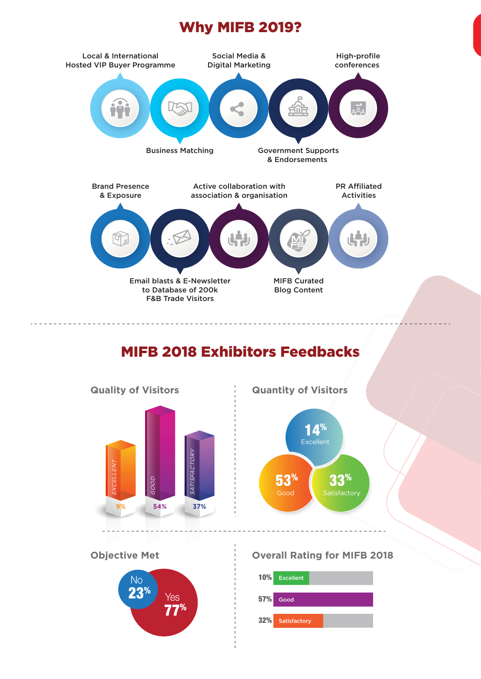## Why MIFB 2019?



## MIFB 2018 Exhibitors Feedbacks





**Objective Met Overall Rating for MIFB 2018**

14%

Excellent

 $\overline{53}^{\%}$   $\overline{33}^{\%}$ 

Satisfactory

 $\omega_{\rm c} = \omega_{\rm c} = \omega_{\rm c}$